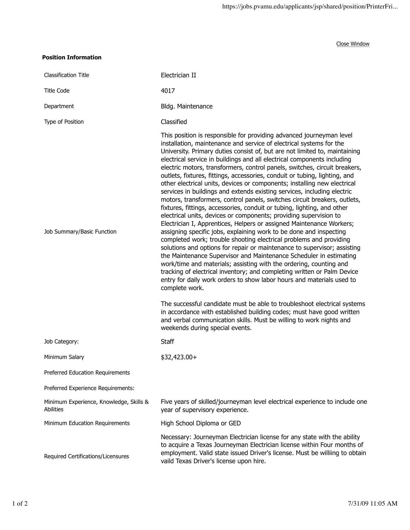Close Window

## **Position Information**

| <b>Classification Title</b>                          | Electrician II                                                                                                                                                                                                                                                                                                                                                                                                                                                                                                                                                                                                                                                                                                                                                                                                                                                                                                                                                                                                                                                                                                                                                                                                                                                                                                                                                                                                                                                                                                                                                                                                                                                                                                                        |
|------------------------------------------------------|---------------------------------------------------------------------------------------------------------------------------------------------------------------------------------------------------------------------------------------------------------------------------------------------------------------------------------------------------------------------------------------------------------------------------------------------------------------------------------------------------------------------------------------------------------------------------------------------------------------------------------------------------------------------------------------------------------------------------------------------------------------------------------------------------------------------------------------------------------------------------------------------------------------------------------------------------------------------------------------------------------------------------------------------------------------------------------------------------------------------------------------------------------------------------------------------------------------------------------------------------------------------------------------------------------------------------------------------------------------------------------------------------------------------------------------------------------------------------------------------------------------------------------------------------------------------------------------------------------------------------------------------------------------------------------------------------------------------------------------|
| <b>Title Code</b>                                    | 4017                                                                                                                                                                                                                                                                                                                                                                                                                                                                                                                                                                                                                                                                                                                                                                                                                                                                                                                                                                                                                                                                                                                                                                                                                                                                                                                                                                                                                                                                                                                                                                                                                                                                                                                                  |
| Department                                           | Bldg. Maintenance                                                                                                                                                                                                                                                                                                                                                                                                                                                                                                                                                                                                                                                                                                                                                                                                                                                                                                                                                                                                                                                                                                                                                                                                                                                                                                                                                                                                                                                                                                                                                                                                                                                                                                                     |
| Type of Position                                     | Classified                                                                                                                                                                                                                                                                                                                                                                                                                                                                                                                                                                                                                                                                                                                                                                                                                                                                                                                                                                                                                                                                                                                                                                                                                                                                                                                                                                                                                                                                                                                                                                                                                                                                                                                            |
| Job Summary/Basic Function                           | This position is responsible for providing advanced journeyman level<br>installation, maintenance and service of electrical systems for the<br>University. Primary duties consist of, but are not limited to, maintaining<br>electrical service in buildings and all electrical components including<br>electric motors, transformers, control panels, switches, circuit breakers,<br>outlets, fixtures, fittings, accessories, conduit or tubing, lighting, and<br>other electrical units, devices or components; installing new electrical<br>services in buildings and extends existing services, including electric<br>motors, transformers, control panels, switches circuit breakers, outlets,<br>fixtures, fittings, accessories, conduit or tubing, lighting, and other<br>electrical units, devices or components; providing supervision to<br>Electrician I, Apprentices, Helpers or assigned Maintenance Workers;<br>assigning specific jobs, explaining work to be done and inspecting<br>completed work; trouble shooting electrical problems and providing<br>solutions and options for repair or maintenance to supervisor; assisting<br>the Maintenance Supervisor and Maintenance Scheduler in estimating<br>work/time and materials; assisting with the ordering, counting and<br>tracking of electrical inventory; and completing written or Palm Device<br>entry for daily work orders to show labor hours and materials used to<br>complete work.<br>The successful candidate must be able to troubleshoot electrical systems<br>in accordance with established building codes; must have good written<br>and verbal communication skills. Must be willing to work nights and<br>weekends during special events. |
| Job Category:                                        | <b>Staff</b>                                                                                                                                                                                                                                                                                                                                                                                                                                                                                                                                                                                                                                                                                                                                                                                                                                                                                                                                                                                                                                                                                                                                                                                                                                                                                                                                                                                                                                                                                                                                                                                                                                                                                                                          |
| Minimum Salary                                       | $$32,423.00+$                                                                                                                                                                                                                                                                                                                                                                                                                                                                                                                                                                                                                                                                                                                                                                                                                                                                                                                                                                                                                                                                                                                                                                                                                                                                                                                                                                                                                                                                                                                                                                                                                                                                                                                         |
| Preferred Education Requirements                     |                                                                                                                                                                                                                                                                                                                                                                                                                                                                                                                                                                                                                                                                                                                                                                                                                                                                                                                                                                                                                                                                                                                                                                                                                                                                                                                                                                                                                                                                                                                                                                                                                                                                                                                                       |
| Preferred Experience Requirements:                   |                                                                                                                                                                                                                                                                                                                                                                                                                                                                                                                                                                                                                                                                                                                                                                                                                                                                                                                                                                                                                                                                                                                                                                                                                                                                                                                                                                                                                                                                                                                                                                                                                                                                                                                                       |
| Minimum Experience, Knowledge, Skills &<br>Abilities | Five years of skilled/journeyman level electrical experience to include one<br>year of supervisory experience.                                                                                                                                                                                                                                                                                                                                                                                                                                                                                                                                                                                                                                                                                                                                                                                                                                                                                                                                                                                                                                                                                                                                                                                                                                                                                                                                                                                                                                                                                                                                                                                                                        |
| Minimum Education Requirements                       | High School Diploma or GED                                                                                                                                                                                                                                                                                                                                                                                                                                                                                                                                                                                                                                                                                                                                                                                                                                                                                                                                                                                                                                                                                                                                                                                                                                                                                                                                                                                                                                                                                                                                                                                                                                                                                                            |
| Required Certifications/Licensures                   | Necessary: Journeyman Electrician license for any state with the ability<br>to acquire a Texas Journeyman Electrician license within Four months of<br>employment. Valid state issued Driver's license. Must be williing to obtain<br>vaild Texas Driver's license upon hire.                                                                                                                                                                                                                                                                                                                                                                                                                                                                                                                                                                                                                                                                                                                                                                                                                                                                                                                                                                                                                                                                                                                                                                                                                                                                                                                                                                                                                                                         |